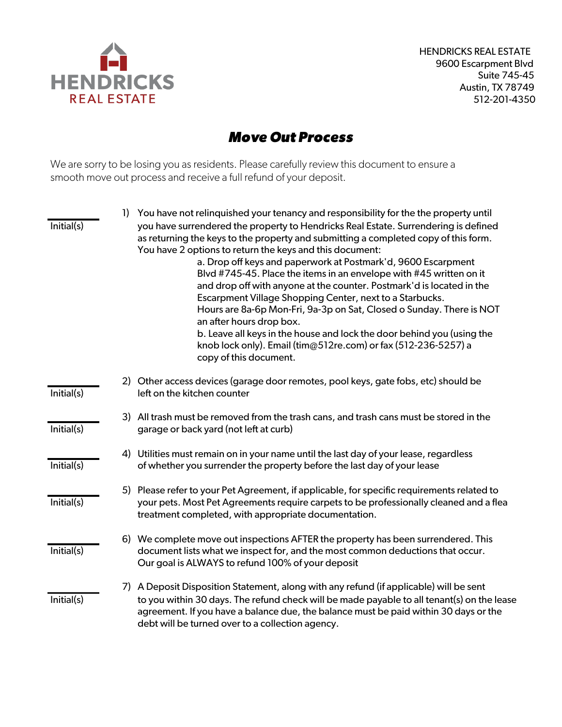

HENDRICKS REAL ESTATE 9600 Escarpment Blvd Suite 745-45 Austin, TX 78749 512-201-4350

## *Move Out Process*

We are sorry to be losing you as residents. Please carefully review this document to ensure a smooth move out process and receive a full refund of your deposit.

| Initial(s) | 1) | You have not relinguished your tenancy and responsibility for the the property until<br>you have surrendered the property to Hendricks Real Estate. Surrendering is defined<br>as returning the keys to the property and submitting a completed copy of this form.<br>You have 2 options to return the keys and this document:<br>a. Drop off keys and paperwork at Postmark'd, 9600 Escarpment<br>Blvd #745-45. Place the items in an envelope with #45 written on it<br>and drop off with anyone at the counter. Postmark'd is located in the<br>Escarpment Village Shopping Center, next to a Starbucks.<br>Hours are 8a-6p Mon-Fri, 9a-3p on Sat, Closed o Sunday. There is NOT<br>an after hours drop box.<br>b. Leave all keys in the house and lock the door behind you (using the<br>knob lock only). Email (tim@512re.com) or fax (512-236-5257) a<br>copy of this document. |
|------------|----|---------------------------------------------------------------------------------------------------------------------------------------------------------------------------------------------------------------------------------------------------------------------------------------------------------------------------------------------------------------------------------------------------------------------------------------------------------------------------------------------------------------------------------------------------------------------------------------------------------------------------------------------------------------------------------------------------------------------------------------------------------------------------------------------------------------------------------------------------------------------------------------|
| Initial(s) |    | 2) Other access devices (garage door remotes, pool keys, gate fobs, etc) should be<br>left on the kitchen counter                                                                                                                                                                                                                                                                                                                                                                                                                                                                                                                                                                                                                                                                                                                                                                     |
| Initial(s) |    | 3) All trash must be removed from the trash cans, and trash cans must be stored in the<br>garage or back yard (not left at curb)                                                                                                                                                                                                                                                                                                                                                                                                                                                                                                                                                                                                                                                                                                                                                      |
| Initial(s) |    | 4) Utilities must remain on in your name until the last day of your lease, regardless<br>of whether you surrender the property before the last day of your lease                                                                                                                                                                                                                                                                                                                                                                                                                                                                                                                                                                                                                                                                                                                      |
| Initial(s) |    | 5) Please refer to your Pet Agreement, if applicable, for specific requirements related to<br>your pets. Most Pet Agreements require carpets to be professionally cleaned and a flea<br>treatment completed, with appropriate documentation.                                                                                                                                                                                                                                                                                                                                                                                                                                                                                                                                                                                                                                          |
| Initial(s) |    | 6) We complete move out inspections AFTER the property has been surrendered. This<br>document lists what we inspect for, and the most common deductions that occur.<br>Our goal is ALWAYS to refund 100% of your deposit                                                                                                                                                                                                                                                                                                                                                                                                                                                                                                                                                                                                                                                              |
| Initial(s) |    | 7) A Deposit Disposition Statement, along with any refund (if applicable) will be sent<br>to you within 30 days. The refund check will be made payable to all tenant(s) on the lease<br>agreement. If you have a balance due, the balance must be paid within 30 days or the<br>debt will be turned over to a collection agency.                                                                                                                                                                                                                                                                                                                                                                                                                                                                                                                                                      |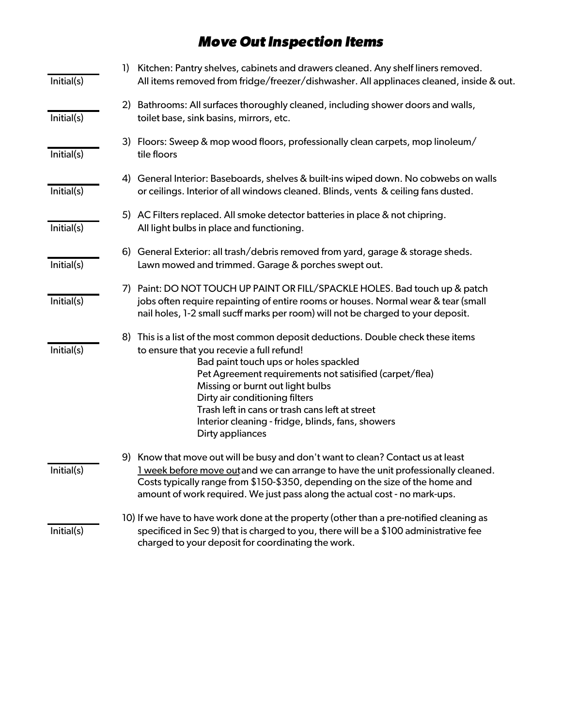## *Move Out Inspection Items*

| Initial(s) | Kitchen: Pantry shelves, cabinets and drawers cleaned. Any shelf liners removed.<br>1)<br>All items removed from fridge/freezer/dishwasher. All applinaces cleaned, inside & out.                                                                                                                                                                                                                                                    |
|------------|--------------------------------------------------------------------------------------------------------------------------------------------------------------------------------------------------------------------------------------------------------------------------------------------------------------------------------------------------------------------------------------------------------------------------------------|
| Initial(s) | 2) Bathrooms: All surfaces thoroughly cleaned, including shower doors and walls,<br>toilet base, sink basins, mirrors, etc.                                                                                                                                                                                                                                                                                                          |
| Initial(s) | 3) Floors: Sweep & mop wood floors, professionally clean carpets, mop linoleum/<br>tile floors                                                                                                                                                                                                                                                                                                                                       |
| Initial(s) | General Interior: Baseboards, shelves & built-ins wiped down. No cobwebs on walls<br>4)<br>or ceilings. Interior of all windows cleaned. Blinds, vents & ceiling fans dusted.                                                                                                                                                                                                                                                        |
| Initial(s) | 5) AC Filters replaced. All smoke detector batteries in place & not chipring.<br>All light bulbs in place and functioning.                                                                                                                                                                                                                                                                                                           |
| Initial(s) | 6) General Exterior: all trash/debris removed from yard, garage & storage sheds.<br>Lawn mowed and trimmed. Garage & porches swept out.                                                                                                                                                                                                                                                                                              |
| Initial(s) | 7) Paint: DO NOT TOUCH UP PAINT OR FILL/SPACKLE HOLES. Bad touch up & patch<br>jobs often require repainting of entire rooms or houses. Normal wear & tear (small<br>nail holes, 1-2 small sucff marks per room) will not be charged to your deposit.                                                                                                                                                                                |
| Initial(s) | 8) This is a list of the most common deposit deductions. Double check these items<br>to ensure that you recevie a full refund!<br>Bad paint touch ups or holes spackled<br>Pet Agreement requirements not satisified (carpet/flea)<br>Missing or burnt out light bulbs<br>Dirty air conditioning filters<br>Trash left in cans or trash cans left at street<br>Interior cleaning - fridge, blinds, fans, showers<br>Dirty appliances |
| Initial(s) | 9) Know that move out will be busy and don't want to clean? Contact us at least<br>I week before move outand we can arrange to have the unit professionally cleaned<br>Costs typically range from \$150-\$350, depending on the size of the home and<br>amount of work required. We just pass along the actual cost - no mark-ups.                                                                                                   |
| Initial(s) | 10) If we have to have work done at the property (other than a pre-notified cleaning as<br>specificed in Sec 9) that is charged to you, there will be a \$100 administrative fee<br>charged to your deposit for coordinating the work.                                                                                                                                                                                               |